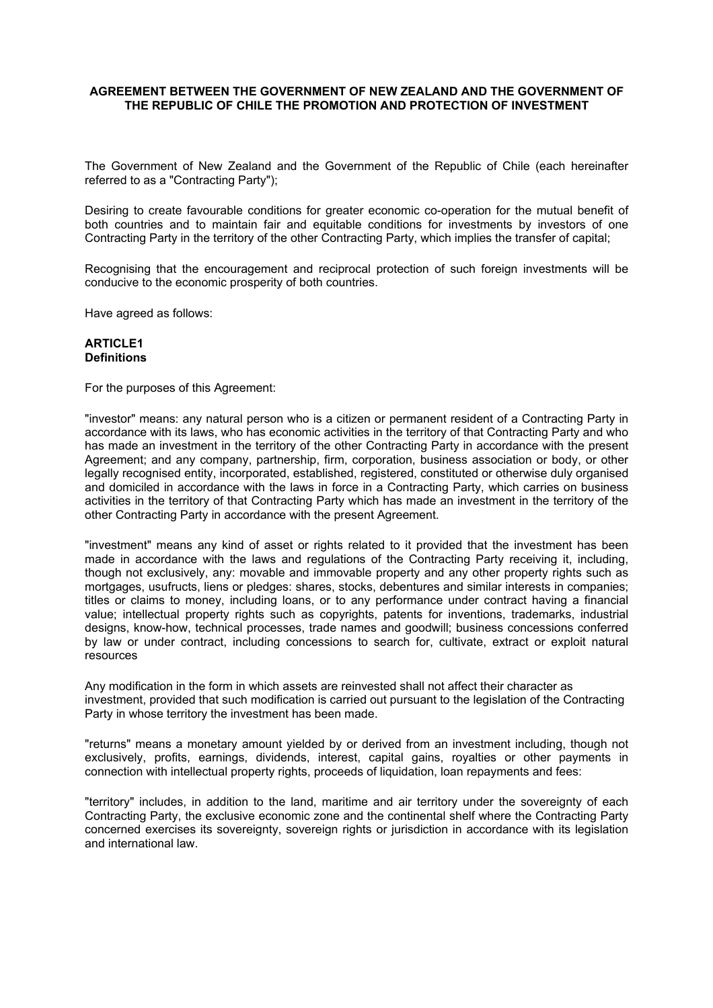#### **AGREEMENT BETWEEN THE GOVERNMENT OF NEW ZEALAND AND THE GOVERNMENT OF THE REPUBLIC OF CHILE THE PROMOTION AND PROTECTION OF INVESTMENT**

The Government of New Zealand and the Government of the Republic of Chile (each hereinafter referred to as a "Contracting Party");

Desiring to create favourable conditions for greater economic co-operation for the mutual benefit of both countries and to maintain fair and equitable conditions for investments by investors of one Contracting Party in the territory of the other Contracting Party, which implies the transfer of capital;

Recognising that the encouragement and reciprocal protection of such foreign investments will be conducive to the economic prosperity of both countries.

Have agreed as follows:

#### **ARTICLE1 Definitions**

For the purposes of this Agreement:

"investor" means: any natural person who is a citizen or permanent resident of a Contracting Party in accordance with its laws, who has economic activities in the territory of that Contracting Party and who has made an investment in the territory of the other Contracting Party in accordance with the present Agreement; and any company, partnership, firm, corporation, business association or body, or other legally recognised entity, incorporated, established, registered, constituted or otherwise duly organised and domiciled in accordance with the laws in force in a Contracting Party, which carries on business activities in the territory of that Contracting Party which has made an investment in the territory of the other Contracting Party in accordance with the present Agreement.

"investment" means any kind of asset or rights related to it provided that the investment has been made in accordance with the laws and regulations of the Contracting Party receiving it, including, though not exclusively, any: movable and immovable property and any other property rights such as mortgages, usufructs, liens or pledges: shares, stocks, debentures and similar interests in companies; titles or claims to money, including loans, or to any performance under contract having a financial value; intellectual property rights such as copyrights, patents for inventions, trademarks, industrial designs, know-how, technical processes, trade names and goodwill; business concessions conferred by law or under contract, including concessions to search for, cultivate, extract or exploit natural resources

Any modification in the form in which assets are reinvested shall not affect their character as investment, provided that such modification is carried out pursuant to the legislation of the Contracting Party in whose territory the investment has been made.

"returns" means a monetary amount yielded by or derived from an investment including, though not exclusively, profits, earnings, dividends, interest, capital gains, royalties or other payments in connection with intellectual property rights, proceeds of liquidation, loan repayments and fees:

"territory" includes, in addition to the land, maritime and air territory under the sovereignty of each Contracting Party, the exclusive economic zone and the continental shelf where the Contracting Party concerned exercises its sovereignty, sovereign rights or jurisdiction in accordance with its legislation and international law.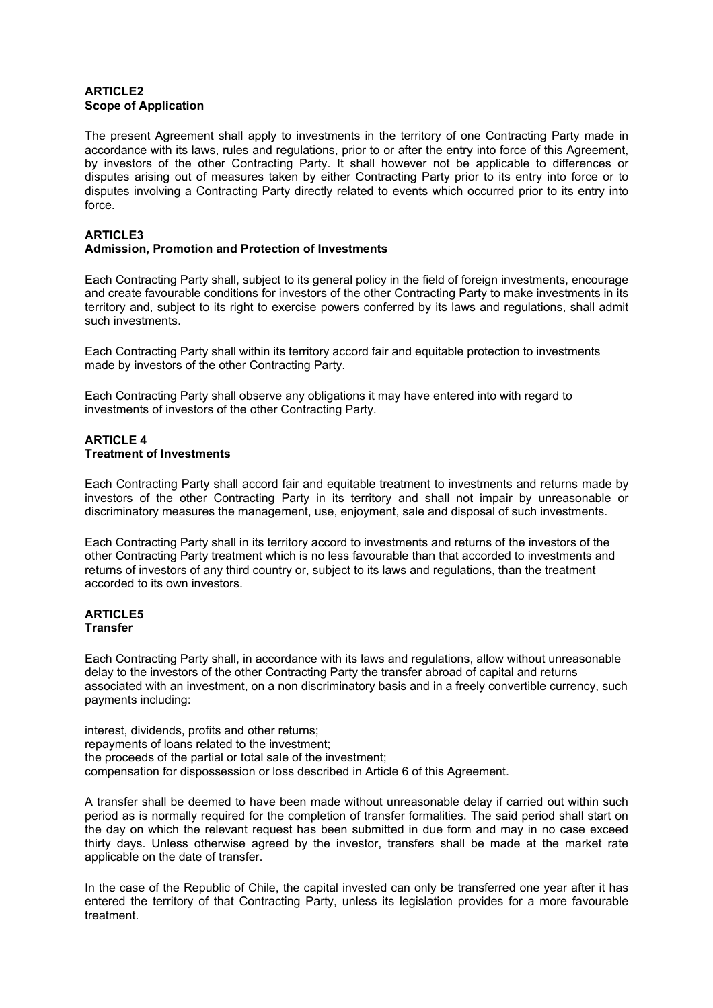### **ARTICLE2 Scope of Application**

The present Agreement shall apply to investments in the territory of one Contracting Party made in accordance with its laws, rules and regulations, prior to or after the entry into force of this Agreement, by investors of the other Contracting Party. It shall however not be applicable to differences or disputes arising out of measures taken by either Contracting Party prior to its entry into force or to disputes involving a Contracting Party directly related to events which occurred prior to its entry into force.

# **ARTICLE3**

# **Admission, Promotion and Protection of Investments**

Each Contracting Party shall, subject to its general policy in the field of foreign investments, encourage and create favourable conditions for investors of the other Contracting Party to make investments in its territory and, subject to its right to exercise powers conferred by its laws and regulations, shall admit such investments.

Each Contracting Party shall within its territory accord fair and equitable protection to investments made by investors of the other Contracting Party.

Each Contracting Party shall observe any obligations it may have entered into with regard to investments of investors of the other Contracting Party.

#### **ARTICLE 4 Treatment of Investments**

Each Contracting Party shall accord fair and equitable treatment to investments and returns made by investors of the other Contracting Party in its territory and shall not impair by unreasonable or discriminatory measures the management, use, enjoyment, sale and disposal of such investments.

Each Contracting Party shall in its territory accord to investments and returns of the investors of the other Contracting Party treatment which is no less favourable than that accorded to investments and returns of investors of any third country or, subject to its laws and regulations, than the treatment accorded to its own investors.

### **ARTICLE5 Transfer**

Each Contracting Party shall, in accordance with its laws and regulations, allow without unreasonable delay to the investors of the other Contracting Party the transfer abroad of capital and returns associated with an investment, on a non discriminatory basis and in a freely convertible currency, such payments including:

interest, dividends, profits and other returns; repayments of loans related to the investment; the proceeds of the partial or total sale of the investment; compensation for dispossession or loss described in Article 6 of this Agreement.

A transfer shall be deemed to have been made without unreasonable delay if carried out within such period as is normally required for the completion of transfer formalities. The said period shall start on the day on which the relevant request has been submitted in due form and may in no case exceed thirty days. Unless otherwise agreed by the investor, transfers shall be made at the market rate applicable on the date of transfer.

In the case of the Republic of Chile, the capital invested can only be transferred one year after it has entered the territory of that Contracting Party, unless its legislation provides for a more favourable treatment.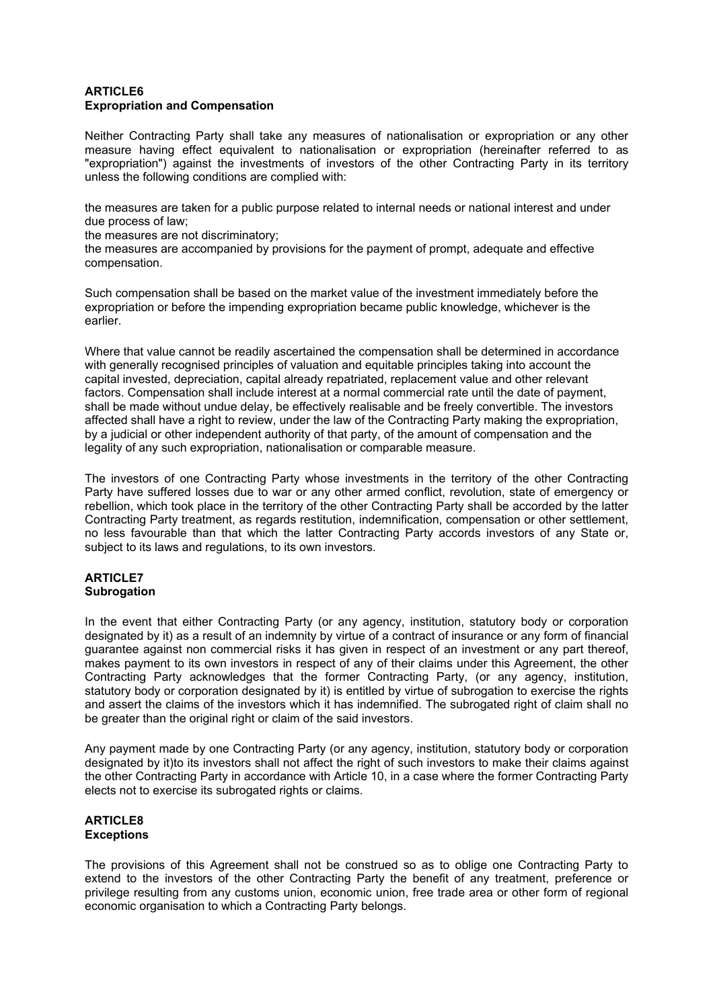#### **ARTICLE6 Expropriation and Compensation**

Neither Contracting Party shall take any measures of nationalisation or expropriation or any other measure having effect equivalent to nationalisation or expropriation (hereinafter referred to as "expropriation") against the investments of investors of the other Contracting Party in its territory unless the following conditions are complied with:

the measures are taken for a public purpose related to internal needs or national interest and under due process of law;

the measures are not discriminatory;

the measures are accompanied by provisions for the payment of prompt, adequate and effective compensation.

Such compensation shall be based on the market value of the investment immediately before the expropriation or before the impending expropriation became public knowledge, whichever is the earlier.

Where that value cannot be readily ascertained the compensation shall be determined in accordance with generally recognised principles of valuation and equitable principles taking into account the capital invested, depreciation, capital already repatriated, replacement value and other relevant factors. Compensation shall include interest at a normal commercial rate until the date of payment, shall be made without undue delay, be effectively realisable and be freely convertible. The investors affected shall have a right to review, under the law of the Contracting Party making the expropriation, by a judicial or other independent authority of that party, of the amount of compensation and the legality of any such expropriation, nationalisation or comparable measure.

The investors of one Contracting Party whose investments in the territory of the other Contracting Party have suffered losses due to war or any other armed conflict, revolution, state of emergency or rebellion, which took place in the territory of the other Contracting Party shall be accorded by the latter Contracting Party treatment, as regards restitution, indemnification, compensation or other settlement, no less favourable than that which the latter Contracting Party accords investors of any State or, subject to its laws and regulations, to its own investors.

### **ARTICLE7 Subrogation**

In the event that either Contracting Party (or any agency, institution, statutory body or corporation designated by it) as a result of an indemnity by virtue of a contract of insurance or any form of financial guarantee against non commercial risks it has given in respect of an investment or any part thereof, makes payment to its own investors in respect of any of their claims under this Agreement, the other Contracting Party acknowledges that the former Contracting Party, (or any agency, institution, statutory body or corporation designated by it) is entitled by virtue of subrogation to exercise the rights and assert the claims of the investors which it has indemnified. The subrogated right of claim shall no be greater than the original right or claim of the said investors.

Any payment made by one Contracting Party (or any agency, institution, statutory body or corporation designated by it)to its investors shall not affect the right of such investors to make their claims against the other Contracting Party in accordance with Article 10, in a case where the former Contracting Party elects not to exercise its subrogated rights or claims.

### **ARTICLE8 Exceptions**

The provisions of this Agreement shall not be construed so as to oblige one Contracting Party to extend to the investors of the other Contracting Party the benefit of any treatment, preference or privilege resulting from any customs union, economic union, free trade area or other form of regional economic organisation to which a Contracting Party belongs.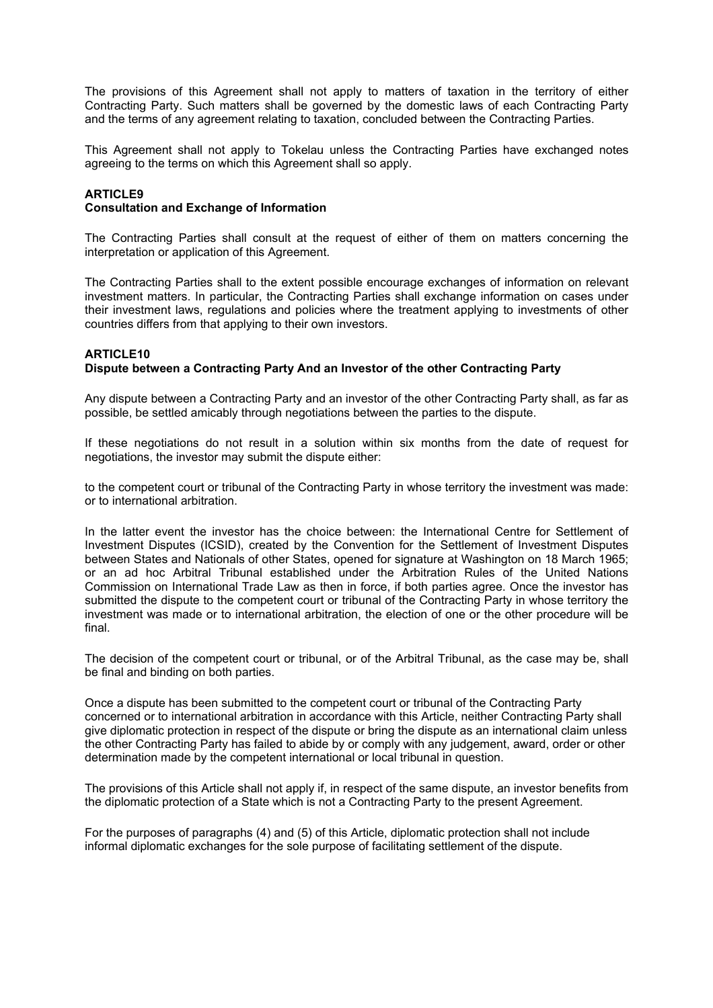The provisions of this Agreement shall not apply to matters of taxation in the territory of either Contracting Party. Such matters shall be governed by the domestic laws of each Contracting Party and the terms of any agreement relating to taxation, concluded between the Contracting Parties.

This Agreement shall not apply to Tokelau unless the Contracting Parties have exchanged notes agreeing to the terms on which this Agreement shall so apply.

#### **ARTICLE9**

#### **Consultation and Exchange of Information**

The Contracting Parties shall consult at the request of either of them on matters concerning the interpretation or application of this Agreement.

The Contracting Parties shall to the extent possible encourage exchanges of information on relevant investment matters. In particular, the Contracting Parties shall exchange information on cases under their investment laws, regulations and policies where the treatment applying to investments of other countries differs from that applying to their own investors.

### **ARTICLE10 Dispute between a Contracting Party And an Investor of the other Contracting Party**

Any dispute between a Contracting Party and an investor of the other Contracting Party shall, as far as possible, be settled amicably through negotiations between the parties to the dispute.

If these negotiations do not result in a solution within six months from the date of request for negotiations, the investor may submit the dispute either:

to the competent court or tribunal of the Contracting Party in whose territory the investment was made: or to international arbitration.

In the latter event the investor has the choice between: the International Centre for Settlement of Investment Disputes (ICSID), created by the Convention for the Settlement of Investment Disputes between States and Nationals of other States, opened for signature at Washington on 18 March 1965; or an ad hoc Arbitral Tribunal established under the Arbitration Rules of the United Nations Commission on International Trade Law as then in force, if both parties agree. Once the investor has submitted the dispute to the competent court or tribunal of the Contracting Party in whose territory the investment was made or to international arbitration, the election of one or the other procedure will be final.

The decision of the competent court or tribunal, or of the Arbitral Tribunal, as the case may be, shall be final and binding on both parties.

Once a dispute has been submitted to the competent court or tribunal of the Contracting Party concerned or to international arbitration in accordance with this Article, neither Contracting Party shall give diplomatic protection in respect of the dispute or bring the dispute as an international claim unless the other Contracting Party has failed to abide by or comply with any judgement, award, order or other determination made by the competent international or local tribunal in question.

The provisions of this Article shall not apply if, in respect of the same dispute, an investor benefits from the diplomatic protection of a State which is not a Contracting Party to the present Agreement.

For the purposes of paragraphs (4) and (5) of this Article, diplomatic protection shall not include informal diplomatic exchanges for the sole purpose of facilitating settlement of the dispute.